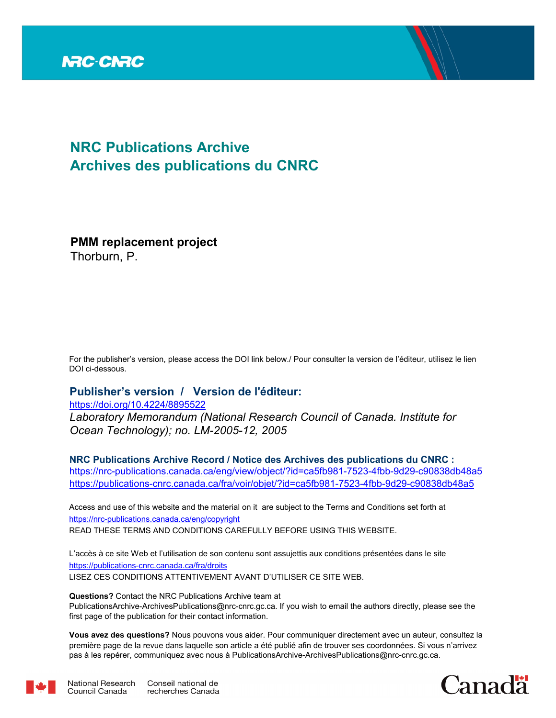

# **NRC Publications Archive Archives des publications du CNRC**

**PMM replacement project**

Thorburn, P.

For the publisher's version, please access the DOI link below./ Pour consulter la version de l'éditeur, utilisez le lien DOI ci-dessous.

# **Publisher's version / Version de l'éditeur:**

*Laboratory Memorandum (National Research Council of Canada. Institute for Ocean Technology); no. LM-2005-12, 2005* https://doi.org/10.4224/8895522

**NRC Publications Archive Record / Notice des Archives des publications du CNRC :** https://nrc-publications.canada.ca/eng/view/object/?id=ca5fb981-7523-4fbb-9d29-c90838db48a5 https://publications-cnrc.canada.ca/fra/voir/objet/?id=ca5fb981-7523-4fbb-9d29-c90838db48a5

READ THESE TERMS AND CONDITIONS CAREFULLY BEFORE USING THIS WEBSITE. https://nrc-publications.canada.ca/eng/copyright Access and use of this website and the material on it are subject to the Terms and Conditions set forth at

https://publications-cnrc.canada.ca/fra/droits L'accès à ce site Web et l'utilisation de son contenu sont assujettis aux conditions présentées dans le site LISEZ CES CONDITIONS ATTENTIVEMENT AVANT D'UTILISER CE SITE WEB.

**Questions?** Contact the NRC Publications Archive team at

PublicationsArchive-ArchivesPublications@nrc-cnrc.gc.ca. If you wish to email the authors directly, please see the first page of the publication for their contact information.

**Vous avez des questions?** Nous pouvons vous aider. Pour communiquer directement avec un auteur, consultez la première page de la revue dans laquelle son article a été publié afin de trouver ses coordonnées. Si vous n'arrivez pas à les repérer, communiquez avec nous à PublicationsArchive-ArchivesPublications@nrc-cnrc.gc.ca.



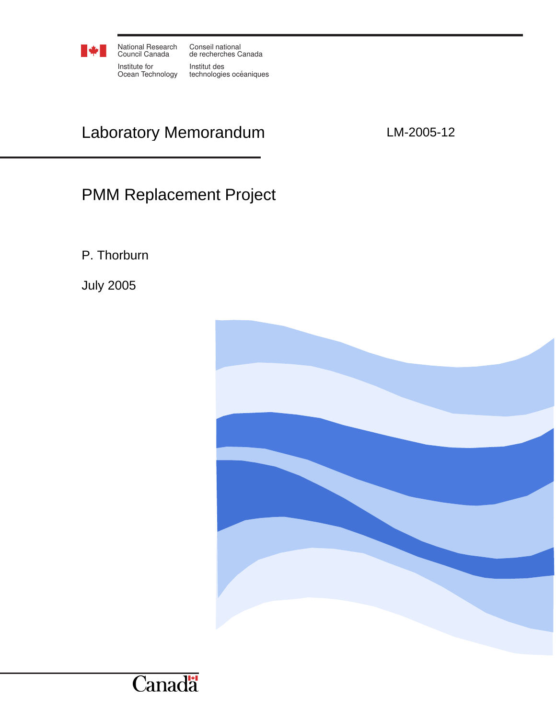

National Research Conseil national Council Canada Institute for

Ocean Technology technologies océaniques de recherches Canada Institut des

# Laboratory Memorandum LM-2005-12

# PMM Replacement Project

P. Thorburn

July 2005

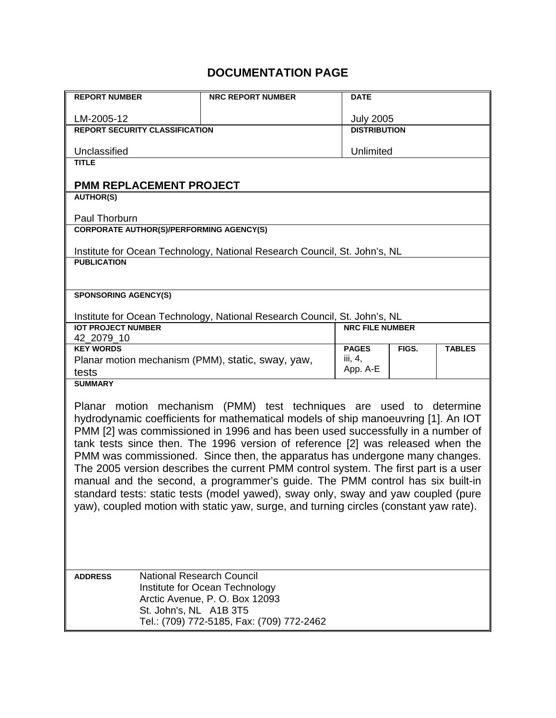# **DOCUMENTATION PAGE**

| <b>REPORT NUMBER</b>                                                  | <b>NRC REPORT NUMBER</b>                                                                                                                                             | <b>DATE</b>                |       |               |  |  |
|-----------------------------------------------------------------------|----------------------------------------------------------------------------------------------------------------------------------------------------------------------|----------------------------|-------|---------------|--|--|
| LM-2005-12                                                            |                                                                                                                                                                      | <b>July 2005</b>           |       |               |  |  |
| <b>REPORT SECURITY CLASSIFICATION</b>                                 |                                                                                                                                                                      | <b>DISTRIBUTION</b>        |       |               |  |  |
| Unclassified                                                          |                                                                                                                                                                      | Unlimited                  |       |               |  |  |
| <b>TITLE</b>                                                          |                                                                                                                                                                      |                            |       |               |  |  |
| <b>PMM REPLACEMENT PROJECT</b>                                        |                                                                                                                                                                      |                            |       |               |  |  |
| <b>AUTHOR(S)</b>                                                      |                                                                                                                                                                      |                            |       |               |  |  |
| Paul Thorburn                                                         |                                                                                                                                                                      |                            |       |               |  |  |
| <b>CORPORATE AUTHOR(S)/PERFORMING AGENCY(S)</b>                       |                                                                                                                                                                      |                            |       |               |  |  |
|                                                                       | Institute for Ocean Technology, National Research Council, St. John's, NL                                                                                            |                            |       |               |  |  |
| <b>PUBLICATION</b>                                                    |                                                                                                                                                                      |                            |       |               |  |  |
|                                                                       |                                                                                                                                                                      |                            |       |               |  |  |
| <b>SPONSORING AGENCY(S)</b>                                           |                                                                                                                                                                      |                            |       |               |  |  |
|                                                                       | Institute for Ocean Technology, National Research Council, St. John's, NL                                                                                            |                            |       |               |  |  |
| <b>IOT PROJECT NUMBER</b>                                             |                                                                                                                                                                      | <b>NRC FILE NUMBER</b>     |       |               |  |  |
| 42_2079_10                                                            |                                                                                                                                                                      |                            |       |               |  |  |
| <b>KEY WORDS</b><br>Planar motion mechanism (PMM), static, sway, yaw, |                                                                                                                                                                      | <b>PAGES</b><br>iii, $4$ , | FIGS. | <b>TABLES</b> |  |  |
| tests                                                                 |                                                                                                                                                                      | App. A-E                   |       |               |  |  |
| <b>SUMMARY</b>                                                        |                                                                                                                                                                      |                            |       |               |  |  |
| Planar                                                                | motion mechanism (PMM) test techniques are used to determine                                                                                                         |                            |       |               |  |  |
|                                                                       | hydrodynamic coefficients for mathematical models of ship manoeuvring [1]. An IOT                                                                                    |                            |       |               |  |  |
|                                                                       | PMM [2] was commissioned in 1996 and has been used successfully in a number of                                                                                       |                            |       |               |  |  |
|                                                                       | tank tests since then. The 1996 version of reference [2] was released when the                                                                                       |                            |       |               |  |  |
|                                                                       | PMM was commissioned. Since then, the apparatus has undergone many changes.                                                                                          |                            |       |               |  |  |
|                                                                       | The 2005 version describes the current PMM control system. The first part is a user<br>manual and the second, a programmer's guide. The PMM control has six built-in |                            |       |               |  |  |
|                                                                       | standard tests: static tests (model yawed), sway only, sway and yaw coupled (pure                                                                                    |                            |       |               |  |  |
|                                                                       | yaw), coupled motion with static yaw, surge, and turning circles (constant yaw rate).                                                                                |                            |       |               |  |  |
|                                                                       |                                                                                                                                                                      |                            |       |               |  |  |
|                                                                       |                                                                                                                                                                      |                            |       |               |  |  |
|                                                                       |                                                                                                                                                                      |                            |       |               |  |  |
|                                                                       |                                                                                                                                                                      |                            |       |               |  |  |
| <b>National Research Council</b><br><b>ADDRESS</b>                    |                                                                                                                                                                      |                            |       |               |  |  |
|                                                                       | Institute for Ocean Technology<br>Arctic Avenue, P. O. Box 12093                                                                                                     |                            |       |               |  |  |
| St. John's, NL A1B 3T5                                                |                                                                                                                                                                      |                            |       |               |  |  |
|                                                                       | Tel.: (709) 772-5185, Fax: (709) 772-2462                                                                                                                            |                            |       |               |  |  |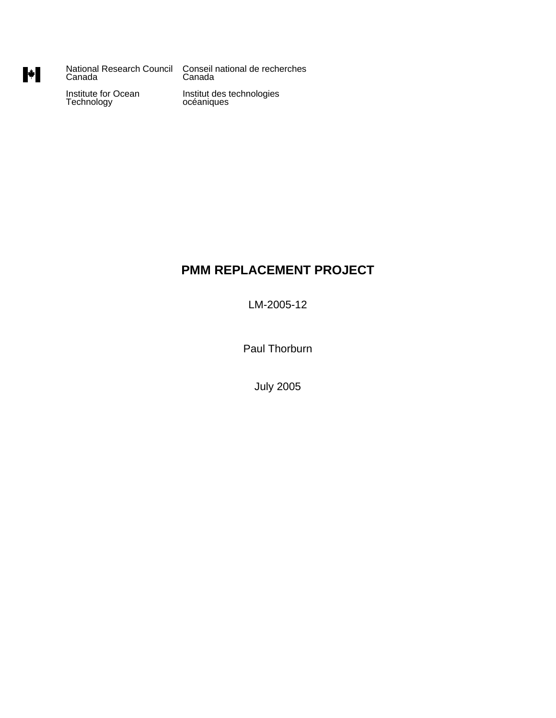National Research Council Conseil national de recherches Canada Canada

Institute for Ocean Institut des technologies<br>Technology océaniques

# **PMM REPLACEMENT PROJECT**

LM-2005-12

Paul Thorburn

July 2005

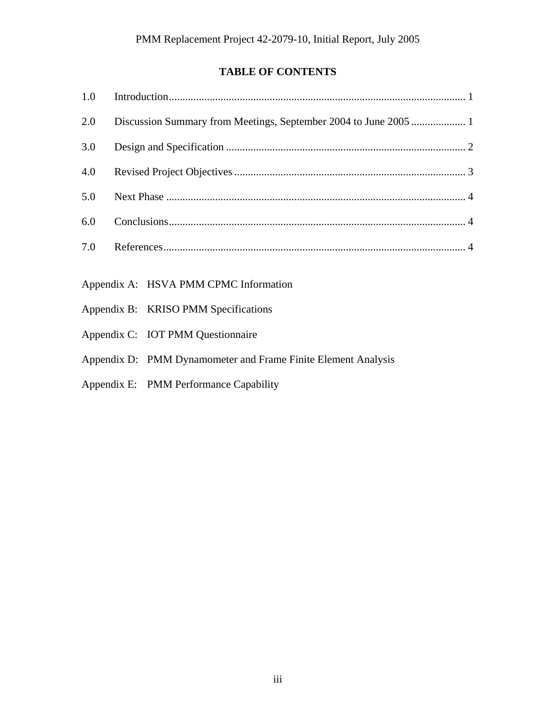# **TABLE OF CONTENTS**

| 2.0 |                                       |
|-----|---------------------------------------|
| 3.0 |                                       |
| 4.0 |                                       |
| 5.0 |                                       |
| 6.0 |                                       |
| 7.0 |                                       |
|     |                                       |
|     | Appendix A: HSVA PMM CPMC Information |
|     | Appendix B: KRISO PMM Specifications  |

- Appendix C: IOT PMM Questionnaire
- Appendix D: PMM Dynamometer and Frame Finite Element Analysis
- Appendix E: PMM Performance Capability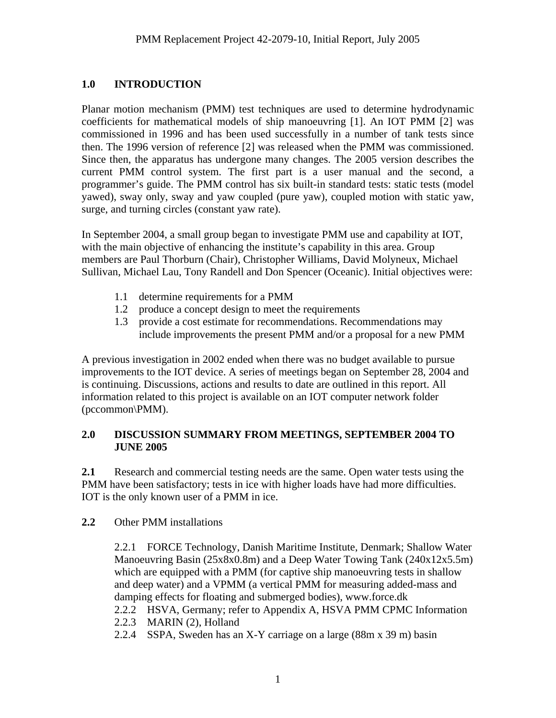# <span id="page-5-0"></span>**1.0 INTRODUCTION**

Planar motion mechanism (PMM) test techniques are used to determine hydrodynamic coefficients for mathematical models of ship manoeuvring [1]. An IOT PMM [2] was commissioned in 1996 and has been used successfully in a number of tank tests since then. The 1996 version of reference [2] was released when the PMM was commissioned. Since then, the apparatus has undergone many changes. The 2005 version describes the current PMM control system. The first part is a user manual and the second, a programmer's guide. The PMM control has six built-in standard tests: static tests (model yawed), sway only, sway and yaw coupled (pure yaw), coupled motion with static yaw, surge, and turning circles (constant yaw rate).

In September 2004, a small group began to investigate PMM use and capability at IOT, with the main objective of enhancing the institute's capability in this area. Group members are Paul Thorburn (Chair), Christopher Williams, David Molyneux, Michael Sullivan, Michael Lau, Tony Randell and Don Spencer (Oceanic). Initial objectives were:

- 1.1 determine requirements for a PMM
- 1.2 produce a concept design to meet the requirements
- 1.3 provide a cost estimate for recommendations. Recommendations may include improvements the present PMM and/or a proposal for a new PMM

A previous investigation in 2002 ended when there was no budget available to pursue improvements to the IOT device. A series of meetings began on September 28, 2004 and is continuing. Discussions, actions and results to date are outlined in this report. All information related to this project is available on an IOT computer network folder (pccommon\PMM).

# **2.0 DISCUSSION SUMMARY FROM MEETINGS, SEPTEMBER 2004 TO JUNE 2005**

**2.1** Research and commercial testing needs are the same. Open water tests using the PMM have been satisfactory; tests in ice with higher loads have had more difficulties. IOT is the only known user of a PMM in ice.

**2.2** Other PMM installations

2.2.1 FORCE Technology, Danish Maritime Institute, Denmark; Shallow Water Manoeuvring Basin (25x8x0.8m) and a Deep Water Towing Tank (240x12x5.5m) which are equipped with a PMM (for captive ship manoeuvring tests in shallow and deep water) and a VPMM (a vertical PMM for measuring added-mass and damping effects for floating and submerged bodies), www.force.dk

```
2.2.2 HSVA, Germany; refer to Appendix A, HSVA PMM CPMC Information
```
- 2.2.3 MARIN (2), Holland
- 2.2.4 SSPA, Sweden has an X-Y carriage on a large (88m x 39 m) basin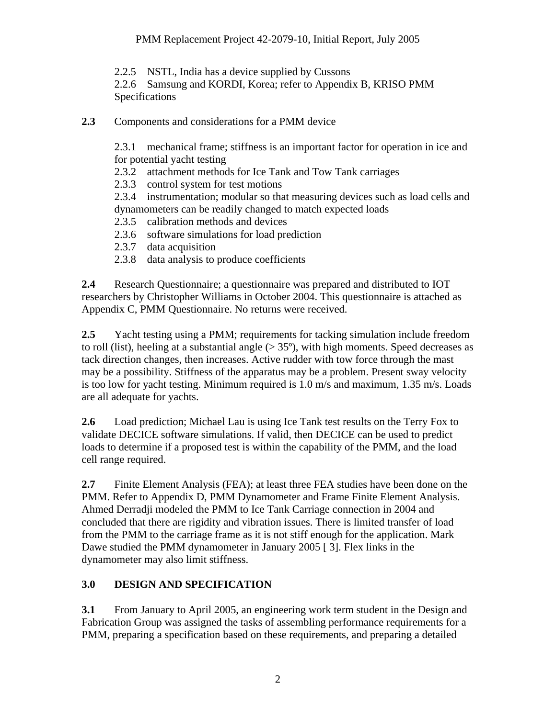<span id="page-6-0"></span>2.2.5 NSTL, India has a device supplied by Cussons

2.2.6 Samsung and KORDI, Korea; refer to Appendix B, KRISO PMM Specifications

**2.3** Components and considerations for a PMM device

2.3.1 mechanical frame; stiffness is an important factor for operation in ice and for potential yacht testing

2.3.2 attachment methods for Ice Tank and Tow Tank carriages

2.3.3 control system for test motions

2.3.4 instrumentation; modular so that measuring devices such as load cells and dynamometers can be readily changed to match expected loads

- 2.3.5 calibration methods and devices
- 2.3.6 software simulations for load prediction
- 2.3.7 data acquisition
- 2.3.8 data analysis to produce coefficients

**2.4** Research Questionnaire; a questionnaire was prepared and distributed to IOT researchers by Christopher Williams in October 2004. This questionnaire is attached as Appendix C, PMM Questionnaire. No returns were received.

**2.5** Yacht testing using a PMM; requirements for tacking simulation include freedom to roll (list), heeling at a substantial angle  $(> 35^{\circ})$ , with high moments. Speed decreases as tack direction changes, then increases. Active rudder with tow force through the mast may be a possibility. Stiffness of the apparatus may be a problem. Present sway velocity is too low for yacht testing. Minimum required is 1.0 m/s and maximum, 1.35 m/s. Loads are all adequate for yachts.

**2.6** Load prediction; Michael Lau is using Ice Tank test results on the Terry Fox to validate DECICE software simulations. If valid, then DECICE can be used to predict loads to determine if a proposed test is within the capability of the PMM, and the load cell range required.

**2.7** Finite Element Analysis (FEA); at least three FEA studies have been done on the PMM. Refer to Appendix D, PMM Dynamometer and Frame Finite Element Analysis. Ahmed Derradji modeled the PMM to Ice Tank Carriage connection in 2004 and concluded that there are rigidity and vibration issues. There is limited transfer of load from the PMM to the carriage frame as it is not stiff enough for the application. Mark Dawe studied the PMM dynamometer in January 2005 [ 3]. Flex links in the dynamometer may also limit stiffness.

# **3.0 DESIGN AND SPECIFICATION**

**3.1** From January to April 2005, an engineering work term student in the Design and Fabrication Group was assigned the tasks of assembling performance requirements for a PMM, preparing a specification based on these requirements, and preparing a detailed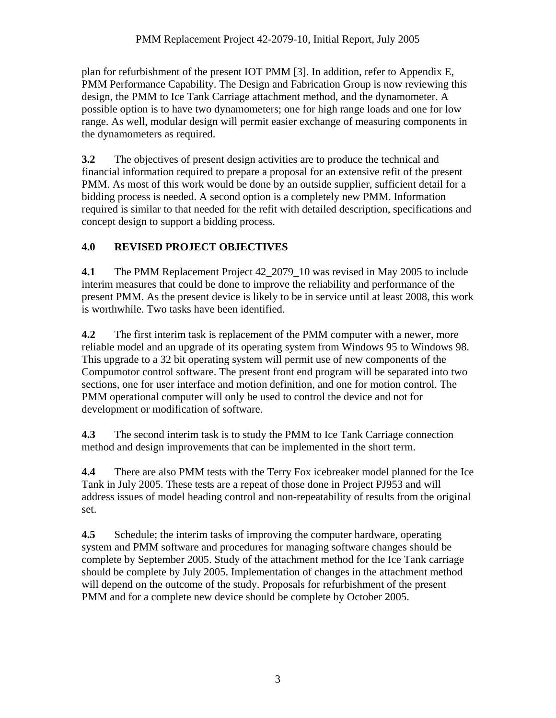<span id="page-7-0"></span>plan for refurbishment of the present IOT PMM [3]. In addition, refer to Appendix E, PMM Performance Capability. The Design and Fabrication Group is now reviewing this design, the PMM to Ice Tank Carriage attachment method, and the dynamometer. A possible option is to have two dynamometers; one for high range loads and one for low range. As well, modular design will permit easier exchange of measuring components in the dynamometers as required.

**3.2** The objectives of present design activities are to produce the technical and financial information required to prepare a proposal for an extensive refit of the present PMM. As most of this work would be done by an outside supplier, sufficient detail for a bidding process is needed. A second option is a completely new PMM. Information required is similar to that needed for the refit with detailed description, specifications and concept design to support a bidding process.

# **4.0 REVISED PROJECT OBJECTIVES**

**4.1** The PMM Replacement Project 42\_2079\_10 was revised in May 2005 to include interim measures that could be done to improve the reliability and performance of the present PMM. As the present device is likely to be in service until at least 2008, this work is worthwhile. Two tasks have been identified.

**4.2** The first interim task is replacement of the PMM computer with a newer, more reliable model and an upgrade of its operating system from Windows 95 to Windows 98. This upgrade to a 32 bit operating system will permit use of new components of the Compumotor control software. The present front end program will be separated into two sections, one for user interface and motion definition, and one for motion control. The PMM operational computer will only be used to control the device and not for development or modification of software.

**4.3** The second interim task is to study the PMM to Ice Tank Carriage connection method and design improvements that can be implemented in the short term.

**4.4** There are also PMM tests with the Terry Fox icebreaker model planned for the Ice Tank in July 2005. These tests are a repeat of those done in Project PJ953 and will address issues of model heading control and non-repeatability of results from the original set.

**4.5** Schedule; the interim tasks of improving the computer hardware, operating system and PMM software and procedures for managing software changes should be complete by September 2005. Study of the attachment method for the Ice Tank carriage should be complete by July 2005. Implementation of changes in the attachment method will depend on the outcome of the study. Proposals for refurbishment of the present PMM and for a complete new device should be complete by October 2005.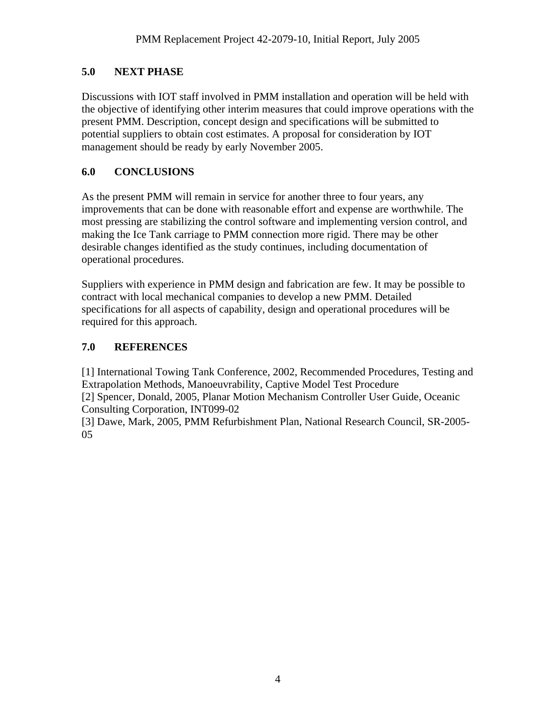# <span id="page-8-0"></span>**5.0 NEXT PHASE**

Discussions with IOT staff involved in PMM installation and operation will be held with the objective of identifying other interim measures that could improve operations with the present PMM. Description, concept design and specifications will be submitted to potential suppliers to obtain cost estimates. A proposal for consideration by IOT management should be ready by early November 2005.

# **6.0 CONCLUSIONS**

As the present PMM will remain in service for another three to four years, any improvements that can be done with reasonable effort and expense are worthwhile. The most pressing are stabilizing the control software and implementing version control, and making the Ice Tank carriage to PMM connection more rigid. There may be other desirable changes identified as the study continues, including documentation of operational procedures.

Suppliers with experience in PMM design and fabrication are few. It may be possible to contract with local mechanical companies to develop a new PMM. Detailed specifications for all aspects of capability, design and operational procedures will be required for this approach.

# **7.0 REFERENCES**

[1] International Towing Tank Conference, 2002, Recommended Procedures, Testing and Extrapolation Methods, Manoeuvrability, Captive Model Test Procedure [2] Spencer, Donald, 2005, Planar Motion Mechanism Controller User Guide, Oceanic Consulting Corporation, INT099-02

[3] Dawe, Mark, 2005, PMM Refurbishment Plan, National Research Council, SR-2005- 05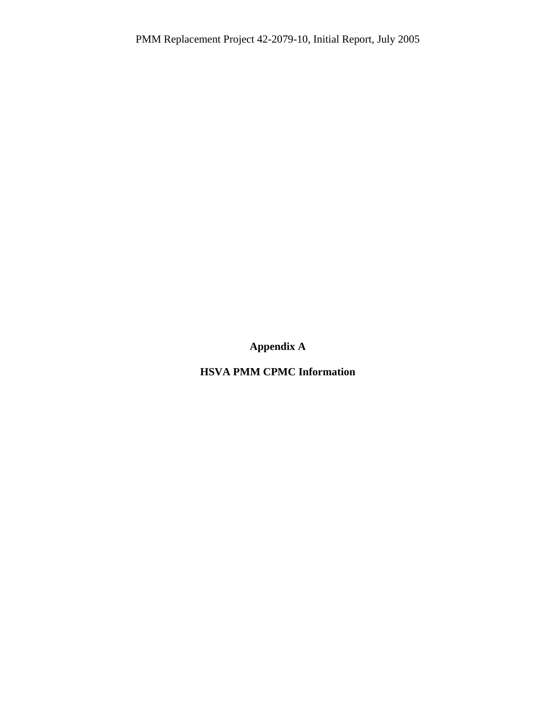**Appendix A** 

**HSVA PMM CPMC Information**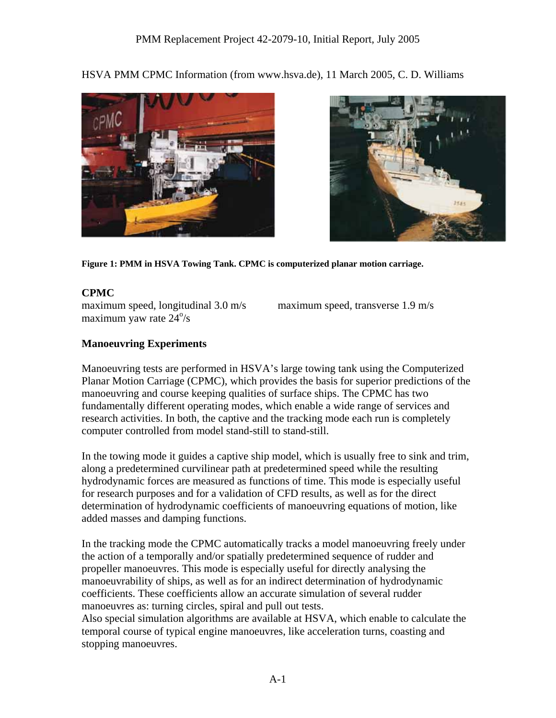HSVA PMM CPMC Information (from www.hsva.de), 11 March 2005, C. D. Williams





**Figure 1: PMM in HSVA Towing Tank. CPMC is computerized planar motion carriage.** 

### **CPMC**

maximum speed, longitudinal 3.0 m/s maximum speed, transverse 1.9 m/s  $maximum$  yaw rate  $24\frac{°}{s}$ 

# **Manoeuvring Experiments**

Manoeuvring tests are performed in HSVA's large towing tank using the Computerized Planar Motion Carriage (CPMC), which provides the basis for superior predictions of the manoeuvring and course keeping qualities of surface ships. The CPMC has two fundamentally different operating modes, which enable a wide range of services and research activities. In both, the captive and the tracking mode each run is completely computer controlled from model stand-still to stand-still.

In the towing mode it guides a captive ship model, which is usually free to sink and trim, along a predetermined curvilinear path at predetermined speed while the resulting hydrodynamic forces are measured as functions of time. This mode is especially useful for research purposes and for a validation of CFD results, as well as for the direct determination of hydrodynamic coefficients of manoeuvring equations of motion, like added masses and damping functions.

In the tracking mode the CPMC automatically tracks a model manoeuvring freely under the action of a temporally and/or spatially predetermined sequence of rudder and propeller manoeuvres. This mode is especially useful for directly analysing the manoeuvrability of ships, as well as for an indirect determination of hydrodynamic coefficients. These coefficients allow an accurate simulation of several rudder manoeuvres as: turning circles, spiral and pull out tests.

Also special simulation algorithms are available at HSVA, which enable to calculate the temporal course of typical engine manoeuvres, like acceleration turns, coasting and stopping manoeuvres.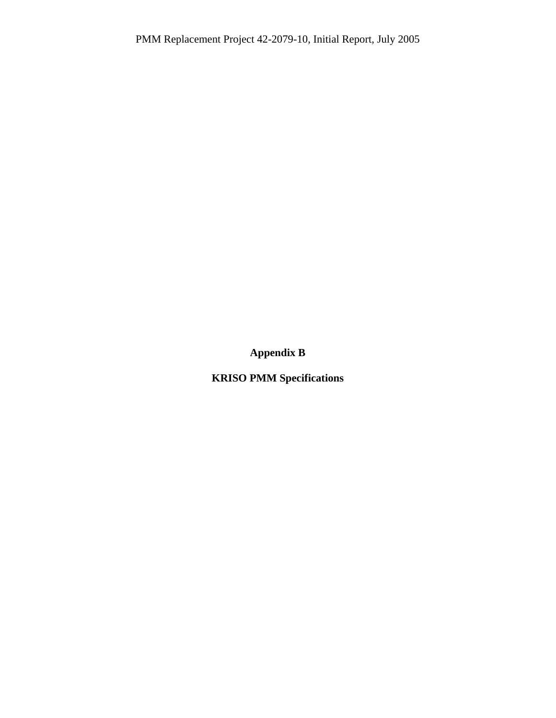**Appendix B** 

**KRISO PMM Specifications**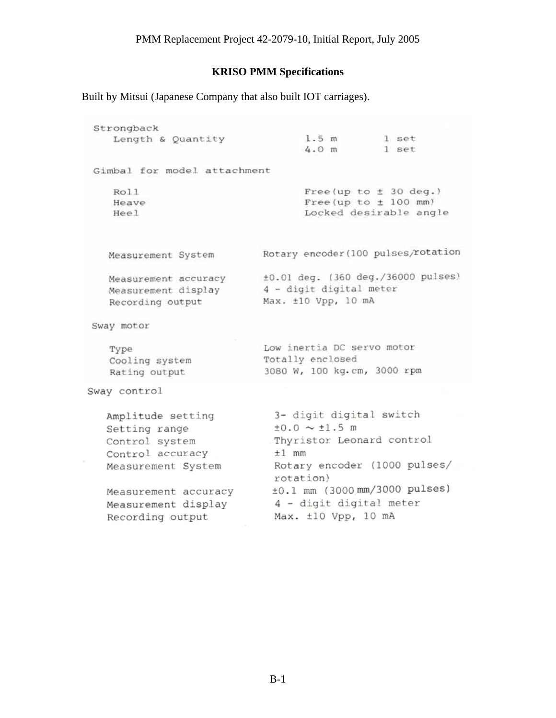#### **KRISO PMM Specifications**

Built by Mitsui (Japanese Company that also built IOT carriages).

Strongback Length & Quantity  $1.5 m$ 1 set  $4.0 m$ 1 set Gimbal for model attachment Roll Free(up to  $\pm$  30 deg.) Free (up to  $\pm$  100 mm) Heave Locked desirable angle Heel Rotary encoder (100 pulses/rotation Measurement System ±0.01 deg. (360 deg./36000 pulses) Measurement accuracy 4 - digit digital meter Measurement display Max. ±10 Vpp, 10 mA Recording output Sway motor Low inertia DC servo motor Type Totally enclosed Cooling system 3080 W, 100 kg.cm, 3000 rpm Rating output Sway control Amplitude setting 3- digit digital switch  $\pm 0.0 \sim \pm 1.5$  m Setting range Thyristor Leonard control Control system Control accuracy  $±1$  mm Rotary encoder (1000 pulses/ Measurement System rotation)  $±0.1$  mm (3000 mm/3000 pulses) Measurement accuracy Measurement display 4 - digit digital meter Max. ±10 Vpp, 10 mA Recording output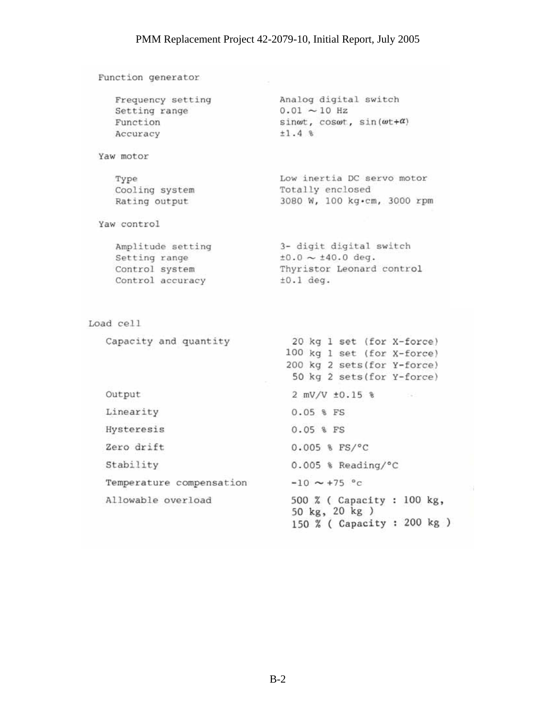Function generator Analog digital switch Frequency setting Setting range  $0.01 \sim 10$  Hz Function sin $\omega t$ , cos $\omega t$ , sin $(\omega t + \alpha)$  $±1.4%$ Accuracy Yaw motor Type Low inertia DC servo motor Totally enclosed Cooling system 3080 W, 100 kg·cm, 3000 rpm Rating output Yaw control 3- digit digital switch<br> $\pm 0.0 \sim \pm 40.0$  deg. Amplitude setting Setting range Control system Thyristor Leonard control  $±0.1 deg.$ Control accuracy Load cell Capacity and quantity 20 kg 1 set (for X-force) 100 kg 1 set (for X-force) 200 kg 2 sets (for Y-force) 50 kg 2 sets (for Y-force) Output  $2$  mV/V  $\pm 0.15$  % Linearity  $0.05$  % FS Hysteresis 0.05 % FS Zero drift  $0.005$  %  $FS/°C$ Stability  $0.005$  % Reading/°C  $-10 \sim +75$  °c Temperature compensation Allowable overload 500 % ( Capacity : 100 kg, 50 kg, 20 kg) 150 % ( Capacity : 200 kg )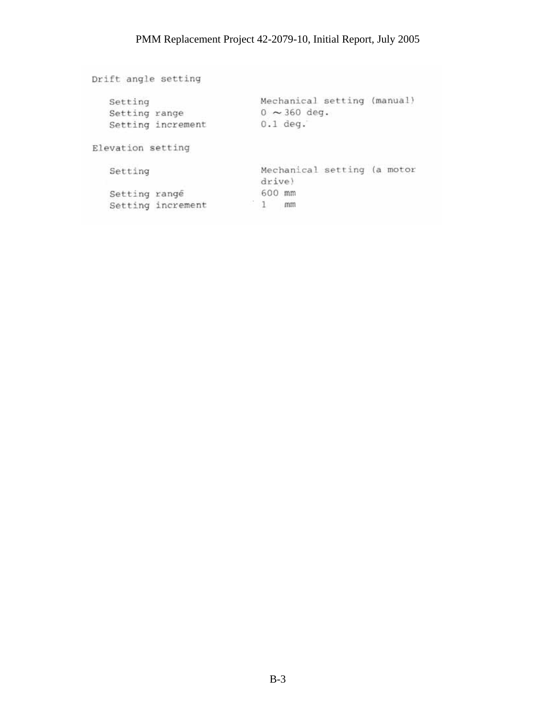Drift angle setting Mechanical setting (manual) Setting Setting<br>Setting range<br>Cotting increment  $0 \sim 360$  deg. Setting increment  $0.1$  deg. Elevation setting Mechanical setting (a motor Setting drive) 600 mm Setting rangé  $1$  mm Setting increment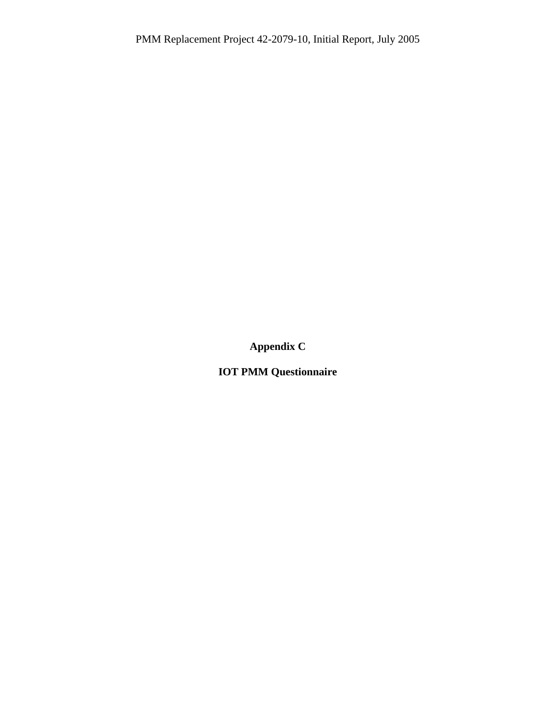**Appendix C** 

**IOT PMM Questionnaire**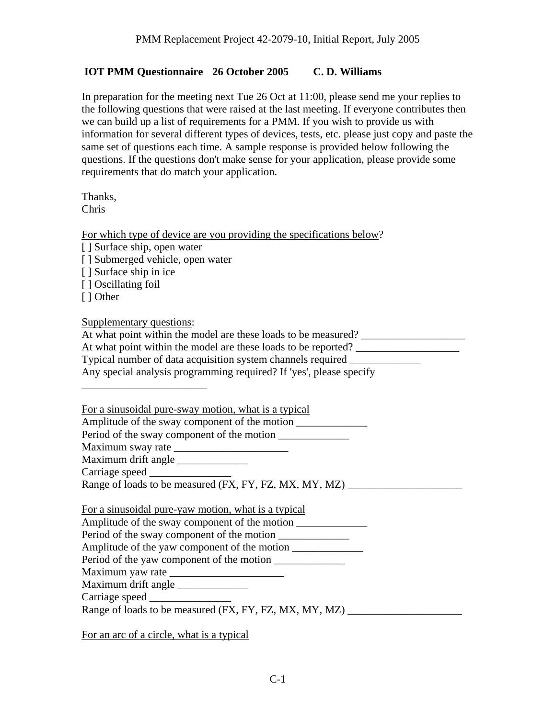### **IOT PMM Questionnaire 26 October 2005 C. D. Williams**

In preparation for the meeting next Tue 26 Oct at 11:00, please send me your replies to the following questions that were raised at the last meeting. If everyone contributes then we can build up a list of requirements for a PMM. If you wish to provide us with information for several different types of devices, tests, etc. please just copy and paste the same set of questions each time. A sample response is provided below following the questions. If the questions don't make sense for your application, please provide some requirements that do match your application.

Thanks, Chris

For which type of device are you providing the specifications below?

| [] Surface ship, open water                                    |
|----------------------------------------------------------------|
| [] Submerged vehicle, open water                               |
| [] Surface ship in ice                                         |
| [] Oscillating foil                                            |
| [ ] Other                                                      |
|                                                                |
| Supplementary questions:                                       |
| At what point within the model are these loads to be measured? |
| At what point within the model are these loads to be reported? |
| Typical number of data acquisition system channels required    |
|                                                                |

Any special analysis programming required? If 'yes', please specify

For a sinusoidal pure-sway motion, what is a typical

Amplitude of the sway component of the motion \_\_\_\_\_\_\_\_\_\_\_\_\_\_\_\_\_\_\_\_\_\_\_\_\_\_\_\_\_\_\_\_\_\_\_

Period of the sway component of the motion

Maximum sway rate \_\_\_\_\_\_\_\_\_\_\_\_\_\_\_\_\_\_\_\_\_

Maximum drift angle

\_\_\_\_\_\_\_\_\_\_\_\_\_\_\_\_\_\_\_\_\_\_\_

Carriage speed \_\_\_\_\_\_\_\_\_\_\_\_\_\_\_

Range of loads to be measured (FX, FY, FZ, MX, MY, MZ) \_\_\_\_\_\_\_\_\_\_\_\_\_\_\_\_\_\_\_\_\_

|  |  |  |  | For a sinusoidal pure-yaw motion, what is a typical |  |  |  |
|--|--|--|--|-----------------------------------------------------|--|--|--|
|  |  |  |  |                                                     |  |  |  |

Amplitude of the sway component of the motion \_\_\_\_\_\_\_\_\_\_\_\_\_\_\_\_\_\_\_\_\_\_\_\_\_\_\_\_\_\_\_\_\_\_\_

Period of the sway component of the motion

Amplitude of the yaw component of the motion

Period of the yaw component of the motion

Maximum yaw rate \_\_\_\_\_\_\_\_\_\_\_\_\_\_\_\_\_\_\_\_\_

Maximum drift angle

Carriage speed

Range of loads to be measured (FX, FY, FZ, MX, MY, MZ)

For an arc of a circle, what is a typical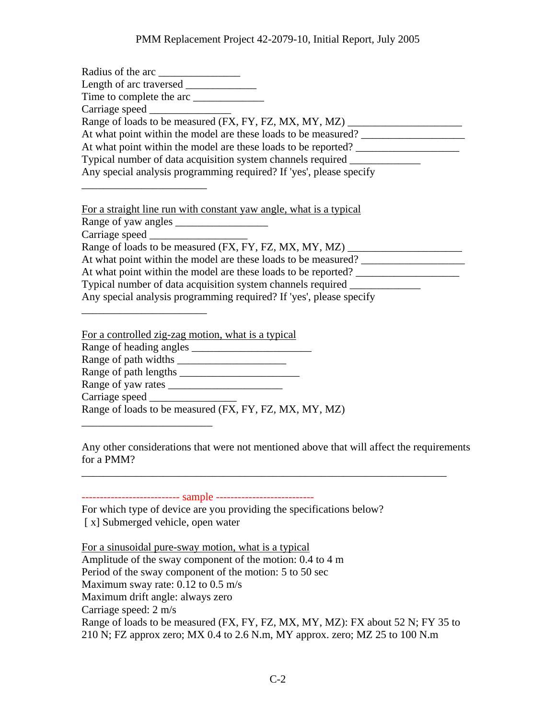| Radius of the arc                                                                                                                                                                                                                                                                                                                                                                                                                           |
|---------------------------------------------------------------------------------------------------------------------------------------------------------------------------------------------------------------------------------------------------------------------------------------------------------------------------------------------------------------------------------------------------------------------------------------------|
|                                                                                                                                                                                                                                                                                                                                                                                                                                             |
|                                                                                                                                                                                                                                                                                                                                                                                                                                             |
|                                                                                                                                                                                                                                                                                                                                                                                                                                             |
| Range of loads to be measured (FX, FY, FZ, MX, MY, MZ)                                                                                                                                                                                                                                                                                                                                                                                      |
| At what point within the model are these loads to be measured? __________________                                                                                                                                                                                                                                                                                                                                                           |
| At what point within the model are these loads to be reported?                                                                                                                                                                                                                                                                                                                                                                              |
| Typical number of data acquisition system channels required ______________                                                                                                                                                                                                                                                                                                                                                                  |
| Any special analysis programming required? If 'yes', please specify                                                                                                                                                                                                                                                                                                                                                                         |
| For a straight line run with constant yaw angle, what is a typical<br>Range of loads to be measured (FX, FY, FZ, MX, MY, MZ) __________________________<br>At what point within the model are these loads to be measured?<br>At what point within the model are these loads to be reported?<br>Typical number of data acquisition system channels required _________<br>Any special analysis programming required? If 'yes', please specify |
| For a controlled zig-zag motion, what is a typical<br>Range of heading angles                                                                                                                                                                                                                                                                                                                                                               |

Range of heading angles \_\_\_\_\_\_\_\_\_\_\_\_\_\_\_\_\_\_\_\_\_\_ Range of path widths Range of path lengths \_\_\_\_\_\_\_\_\_\_\_\_\_\_\_\_\_\_\_\_\_\_ Range of yaw rates \_\_\_\_\_\_\_\_\_\_\_\_\_\_\_\_\_\_\_\_\_ Carriage speed Range of loads to be measured (FX, FY, FZ, MX, MY, MZ)

Any other considerations that were not mentioned above that will affect the requirements for a PMM?

\_\_\_\_\_\_\_\_\_\_\_\_\_\_\_\_\_\_\_\_\_\_\_\_\_\_\_\_\_\_\_\_\_\_\_\_\_\_\_\_\_\_\_\_\_\_\_\_\_\_\_\_\_\_\_\_\_\_\_\_\_\_\_\_\_\_\_

--------------------------- sample ---------------------------

\_\_\_\_\_\_\_\_\_\_\_\_\_\_\_\_\_\_\_\_\_\_\_\_

For which type of device are you providing the specifications below? [ x] Submerged vehicle, open water

For a sinusoidal pure-sway motion, what is a typical Amplitude of the sway component of the motion: 0.4 to 4 m Period of the sway component of the motion: 5 to 50 sec Maximum sway rate: 0.12 to 0.5 m/s Maximum drift angle: always zero Carriage speed: 2 m/s Range of loads to be measured (FX, FY, FZ, MX, MY, MZ): FX about 52 N; FY 35 to 210 N; FZ approx zero; MX 0.4 to 2.6 N.m, MY approx. zero; MZ 25 to 100 N.m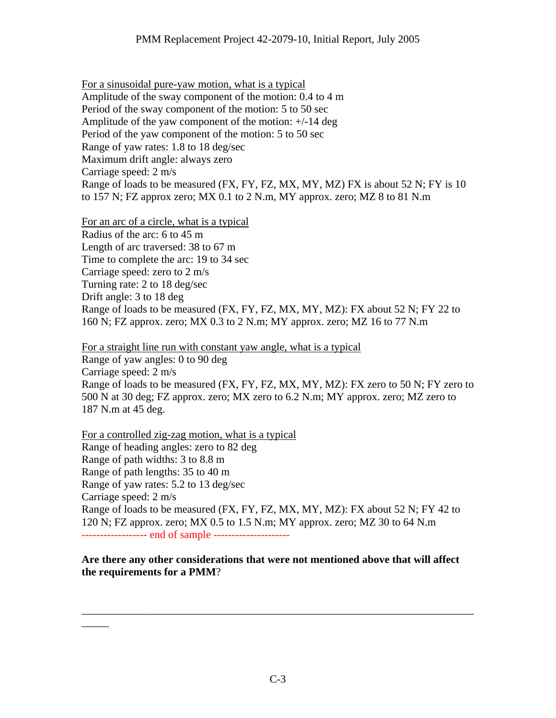For a sinusoidal pure-yaw motion, what is a typical Amplitude of the sway component of the motion: 0.4 to 4 m Period of the sway component of the motion: 5 to 50 sec Amplitude of the yaw component of the motion: +/-14 deg Period of the yaw component of the motion: 5 to 50 sec Range of yaw rates: 1.8 to 18 deg/sec Maximum drift angle: always zero Carriage speed: 2 m/s Range of loads to be measured (FX, FY, FZ, MX, MY, MZ) FX is about 52 N; FY is 10 to 157 N; FZ approx zero; MX 0.1 to 2 N.m, MY approx. zero; MZ 8 to 81 N.m

For an arc of a circle, what is a typical Radius of the arc: 6 to 45 m Length of arc traversed: 38 to 67 m Time to complete the arc: 19 to 34 sec Carriage speed: zero to 2 m/s Turning rate: 2 to 18 deg/sec Drift angle: 3 to 18 deg Range of loads to be measured (FX, FY, FZ, MX, MY, MZ): FX about 52 N; FY 22 to 160 N; FZ approx. zero; MX 0.3 to 2 N.m; MY approx. zero; MZ 16 to 77 N.m

For a straight line run with constant yaw angle, what is a typical Range of yaw angles: 0 to 90 deg Carriage speed: 2 m/s Range of loads to be measured (FX, FY, FZ, MX, MY, MZ): FX zero to 50 N; FY zero to 500 N at 30 deg; FZ approx. zero; MX zero to 6.2 N.m; MY approx. zero; MZ zero to 187 N.m at 45 deg.

For a controlled zig-zag motion, what is a typical Range of heading angles: zero to 82 deg Range of path widths: 3 to 8.8 m Range of path lengths: 35 to 40 m Range of yaw rates: 5.2 to 13 deg/sec Carriage speed: 2 m/s Range of loads to be measured (FX, FY, FZ, MX, MY, MZ): FX about 52 N; FY 42 to 120 N; FZ approx. zero; MX 0.5 to 1.5 N.m; MY approx. zero; MZ 30 to 64 N.m ------------------ end of sample ---------------------

**Are there any other considerations that were not mentioned above that will affect the requirements for a PMM**?

\_\_\_\_\_\_\_\_\_\_\_\_\_\_\_\_\_\_\_\_\_\_\_\_\_\_\_\_\_\_\_\_\_\_\_\_\_\_\_\_\_\_\_\_\_\_\_\_\_\_\_\_\_\_\_\_\_\_\_\_\_\_\_\_\_\_\_\_\_\_\_\_

 $\overline{\phantom{a}}$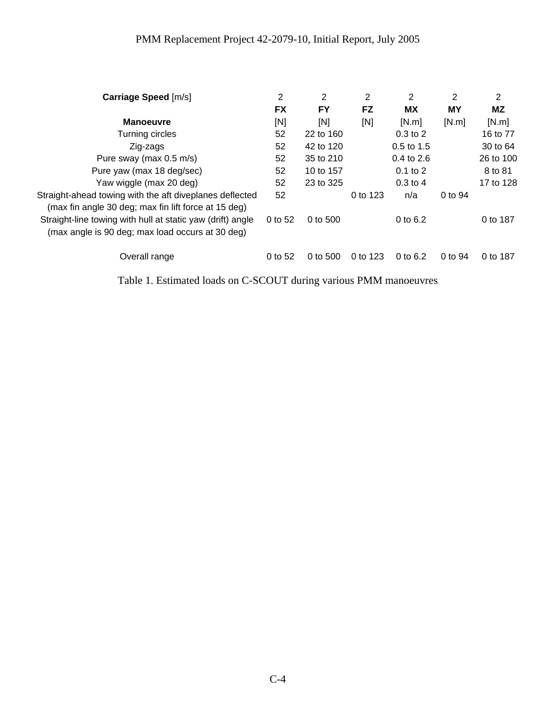| Carriage Speed [m/s]                                                                                            | 2         | 2         | 2         | 2            | 2       | 2         |
|-----------------------------------------------------------------------------------------------------------------|-----------|-----------|-----------|--------------|---------|-----------|
|                                                                                                                 | <b>FX</b> | <b>FY</b> | <b>FZ</b> | <b>MX</b>    | MΥ      | ΜZ        |
| <b>Manoeuvre</b>                                                                                                | [N]       | [N]       | [N]       | [N.m]        | [N.m]   | [N.m]     |
| Turning circles                                                                                                 | 52        | 22 to 160 |           | $0.3$ to $2$ |         | 16 to 77  |
| Zig-zags                                                                                                        | 52        | 42 to 120 |           | $0.5$ to 1.5 |         | 30 to 64  |
| Pure sway (max 0.5 m/s)                                                                                         | 52        | 35 to 210 |           | 0.4 to 2.6   |         | 26 to 100 |
| Pure yaw (max 18 deg/sec)                                                                                       | 52        | 10 to 157 |           | $0.1$ to $2$ |         | 8 to 81   |
| Yaw wiggle (max 20 deg)                                                                                         | 52        | 23 to 325 |           | $0.3$ to 4   |         | 17 to 128 |
| Straight-ahead towing with the aft diveplanes deflected<br>(max fin angle 30 deg; max fin lift force at 15 deg) | 52        |           | 0 to 123  | n/a          | 0 to 94 |           |
| Straight-line towing with hull at static yaw (drift) angle<br>(max angle is 90 deg; max load occurs at 30 deg)  | 0 to 52   | 0 to 500  |           | 0 to 6.2     |         | 0 to 187  |
| Overall range                                                                                                   | 0 to 52   | 0 to 500  | 0 to 123  | 0 to $6.2$   | 0 to 94 | 0 to 187  |

Table 1. Estimated loads on C-SCOUT during various PMM manoeuvres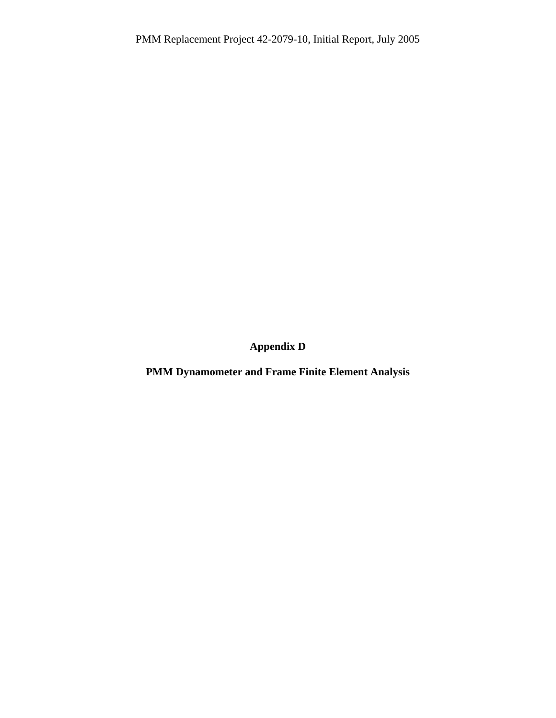**Appendix D** 

**PMM Dynamometer and Frame Finite Element Analysis**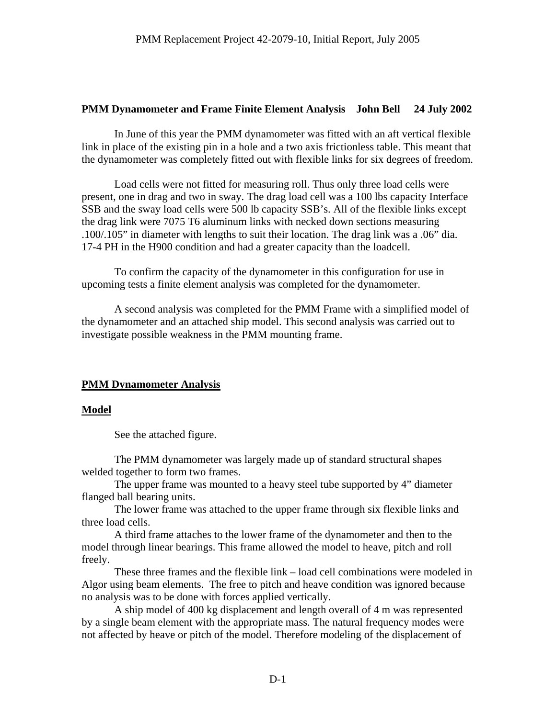### **PMM Dynamometer and Frame Finite Element Analysis John Bell 24 July 2002**

In June of this year the PMM dynamometer was fitted with an aft vertical flexible link in place of the existing pin in a hole and a two axis frictionless table. This meant that the dynamometer was completely fitted out with flexible links for six degrees of freedom.

Load cells were not fitted for measuring roll. Thus only three load cells were present, one in drag and two in sway. The drag load cell was a 100 lbs capacity Interface SSB and the sway load cells were 500 lb capacity SSB's. All of the flexible links except the drag link were 7075 T6 aluminum links with necked down sections measuring .100/.105" in diameter with lengths to suit their location. The drag link was a .06" dia. 17-4 PH in the H900 condition and had a greater capacity than the loadcell.

To confirm the capacity of the dynamometer in this configuration for use in upcoming tests a finite element analysis was completed for the dynamometer.

A second analysis was completed for the PMM Frame with a simplified model of the dynamometer and an attached ship model. This second analysis was carried out to investigate possible weakness in the PMM mounting frame.

# **PMM Dynamometer Analysis**

#### **Model**

See the attached figure.

The PMM dynamometer was largely made up of standard structural shapes welded together to form two frames.

The upper frame was mounted to a heavy steel tube supported by 4" diameter flanged ball bearing units.

The lower frame was attached to the upper frame through six flexible links and three load cells.

A third frame attaches to the lower frame of the dynamometer and then to the model through linear bearings. This frame allowed the model to heave, pitch and roll freely.

These three frames and the flexible link – load cell combinations were modeled in Algor using beam elements. The free to pitch and heave condition was ignored because no analysis was to be done with forces applied vertically.

A ship model of 400 kg displacement and length overall of 4 m was represented by a single beam element with the appropriate mass. The natural frequency modes were not affected by heave or pitch of the model. Therefore modeling of the displacement of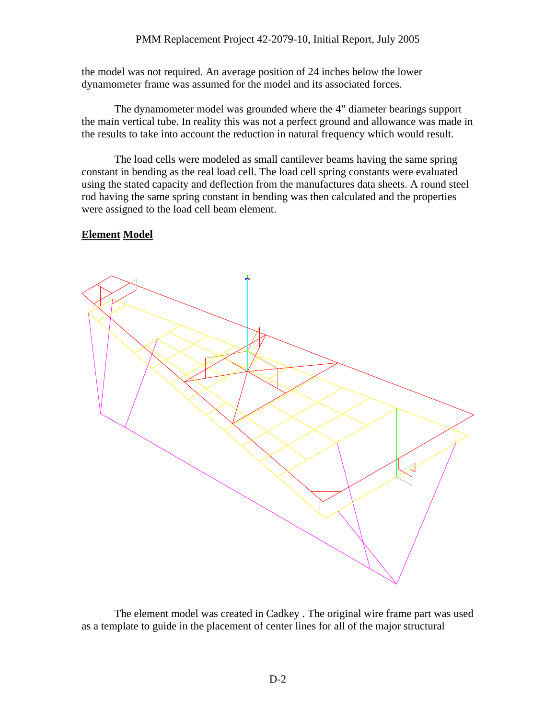the model was not required. An average position of 24 inches below the lower dynamometer frame was assumed for the model and its associated forces.

The dynamometer model was grounded where the 4" diameter bearings support the main vertical tube. In reality this was not a perfect ground and allowance was made in the results to take into account the reduction in natural frequency which would result.

The load cells were modeled as small cantilever beams having the same spring constant in bending as the real load cell. The load cell spring constants were evaluated using the stated capacity and deflection from the manufactures data sheets. A round steel rod having the same spring constant in bending was then calculated and the properties were assigned to the load cell beam element.

# **Element Model**



The element model was created in Cadkey . The original wire frame part was used as a template to guide in the placement of center lines for all of the major structural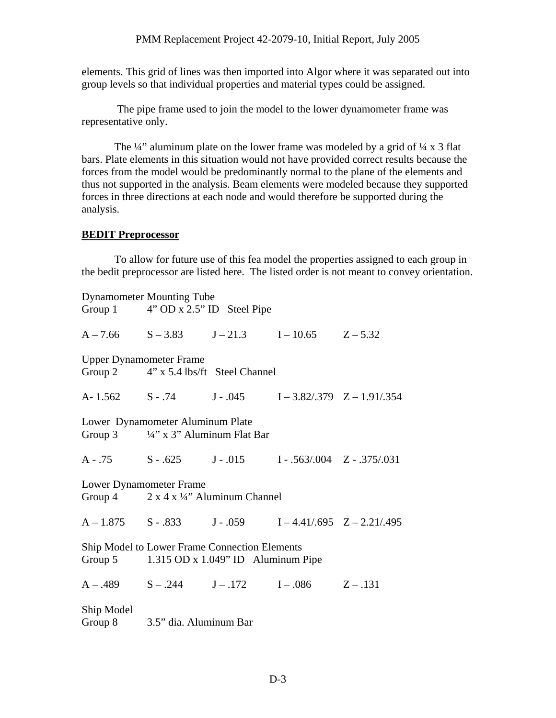elements. This grid of lines was then imported into Algor where it was separated out into group levels so that individual properties and material types could be assigned.

 The pipe frame used to join the model to the lower dynamometer frame was representative only.

The  $\frac{1}{4}$ " aluminum plate on the lower frame was modeled by a grid of  $\frac{1}{4}$  x 3 flat bars. Plate elements in this situation would not have provided correct results because the forces from the model would be predominantly normal to the plane of the elements and thus not supported in the analysis. Beam elements were modeled because they supported forces in three directions at each node and would therefore be supported during the analysis.

#### **BEDIT Preprocessor**

To allow for future use of this fea model the properties assigned to each group in the bedit preprocessor are listed here. The listed order is not meant to convey orientation.

|                                                                                                                                  | <b>Dynamometer Mounting Tube</b><br>Group 1 4" OD x 2.5" ID Steel Pipe                     |  |                                                               |                                                           |  |  |  |  |
|----------------------------------------------------------------------------------------------------------------------------------|--------------------------------------------------------------------------------------------|--|---------------------------------------------------------------|-----------------------------------------------------------|--|--|--|--|
|                                                                                                                                  |                                                                                            |  | $A - 7.66$ $S - 3.83$ $J - 21.3$ $I - 10.65$ $Z - 5.32$       |                                                           |  |  |  |  |
| <b>Upper Dynamometer Frame</b><br>Group 2 4" x 5.4 lbs/ft Steel Channel                                                          |                                                                                            |  |                                                               |                                                           |  |  |  |  |
|                                                                                                                                  |                                                                                            |  |                                                               | A-1.562 S-.74 J-.045 I-3.82/.379 Z-1.91/.354              |  |  |  |  |
| Lower Dynamometer Aluminum Plate<br>Group 3 $\frac{1}{4}$ " x 3" Aluminum Flat Bar                                               |                                                                                            |  |                                                               |                                                           |  |  |  |  |
|                                                                                                                                  |                                                                                            |  | $A - .75$ $S - .625$ $J - .015$ $I - .563/004$ $Z - .375/031$ |                                                           |  |  |  |  |
|                                                                                                                                  | <b>Lower Dynamometer Frame</b><br>Group 4 $2 \times 4 \times \frac{1}{4}$ Aluminum Channel |  |                                                               |                                                           |  |  |  |  |
|                                                                                                                                  |                                                                                            |  |                                                               | $A - 1.875$ S - .833 J - .059 I - 4.41/.695 Z - 2.21/.495 |  |  |  |  |
| <b>Ship Model to Lower Frame Connection Elements</b><br>Group $5 \qquad 1.315 \text{ OD} \times 1.049" \text{ ID}$ Aluminum Pipe |                                                                                            |  |                                                               |                                                           |  |  |  |  |
|                                                                                                                                  |                                                                                            |  | $A - .489$ $S - .244$ $J - .172$ $I - .086$ $Z - .131$        |                                                           |  |  |  |  |
| Ship Model                                                                                                                       | Group 8 3.5" dia. Aluminum Bar                                                             |  |                                                               |                                                           |  |  |  |  |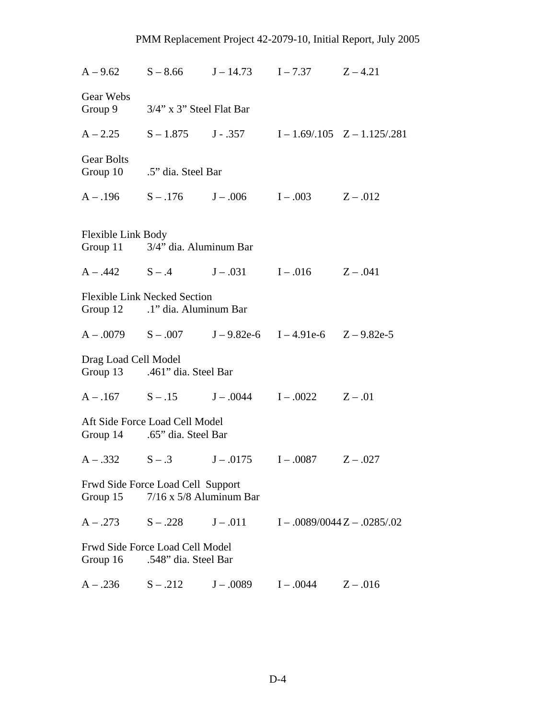|                      |                                                                       |             | $A-9.62$ $S-8.66$ $J-14.73$ $I-7.37$ $Z-4.21$                    |                                                                     |
|----------------------|-----------------------------------------------------------------------|-------------|------------------------------------------------------------------|---------------------------------------------------------------------|
| Gear Webs            | Group 9 3/4" x 3" Steel Flat Bar                                      |             |                                                                  |                                                                     |
|                      |                                                                       |             |                                                                  | $A - 2.25$ $S - 1.875$ $J - 357$ $I - 1.69/0.105$ $Z - 1.125/0.281$ |
| <b>Gear Bolts</b>    | Group 10 .5" dia. Steel Bar                                           |             |                                                                  |                                                                     |
|                      |                                                                       |             | $A - .196$ $S - .176$ $J - .006$ $I - .003$ $Z - .012$           |                                                                     |
| Flexible Link Body   | Group 11 3/4" dia. Aluminum Bar                                       |             |                                                                  |                                                                     |
|                      |                                                                       |             | $A - .442$ $S - .4$ $J - .031$ $I - .016$ $Z - .041$             |                                                                     |
|                      | <b>Flexible Link Necked Section</b><br>Group 12 .1" dia. Aluminum Bar |             |                                                                  |                                                                     |
|                      |                                                                       |             | $A - .0079$ $S - .007$ $J - 9.82e-6$ $I - 4.91e-6$ $Z - 9.82e-5$ |                                                                     |
| Drag Load Cell Model | Group 13 .461" dia. Steel Bar                                         |             |                                                                  |                                                                     |
|                      |                                                                       |             | $A - .167$ $S - .15$ $J - .0044$ $I - .0022$ $Z - .01$           |                                                                     |
|                      | Aft Side Force Load Cell Model<br>Group 14 .65" dia. Steel Bar        |             |                                                                  |                                                                     |
|                      |                                                                       |             | $A - .332$ $S - .3$ $J - .0175$ $I - .0087$ $Z - .027$           |                                                                     |
| Group $15$           | Frwd Side Force Load Cell Support<br>$7/16$ x $5/8$ Aluminum Bar      |             |                                                                  |                                                                     |
| $A - .273$           | $S - .228$                                                            | $J - .011$  |                                                                  | $I - .0089/0044Z - .0285/.02$                                       |
| Group 16             | Frwd Side Force Load Cell Model<br>.548" dia. Steel Bar               |             |                                                                  |                                                                     |
| $A - .236$           | $S - .212$                                                            | $J - .0089$ | $I - .0044$                                                      | $Z - .016$                                                          |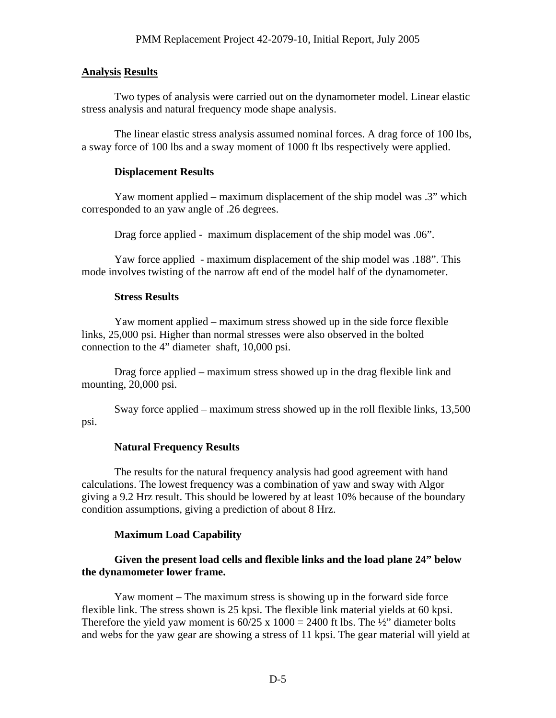#### **Analysis Results**

Two types of analysis were carried out on the dynamometer model. Linear elastic stress analysis and natural frequency mode shape analysis.

The linear elastic stress analysis assumed nominal forces. A drag force of 100 lbs, a sway force of 100 lbs and a sway moment of 1000 ft lbs respectively were applied.

#### **Displacement Results**

Yaw moment applied – maximum displacement of the ship model was .3" which corresponded to an yaw angle of .26 degrees.

Drag force applied - maximum displacement of the ship model was .06".

Yaw force applied - maximum displacement of the ship model was .188". This mode involves twisting of the narrow aft end of the model half of the dynamometer.

#### **Stress Results**

Yaw moment applied – maximum stress showed up in the side force flexible links, 25,000 psi. Higher than normal stresses were also observed in the bolted connection to the 4" diameter shaft, 10,000 psi.

Drag force applied – maximum stress showed up in the drag flexible link and mounting, 20,000 psi.

Sway force applied – maximum stress showed up in the roll flexible links, 13,500 psi.

#### **Natural Frequency Results**

The results for the natural frequency analysis had good agreement with hand calculations. The lowest frequency was a combination of yaw and sway with Algor giving a 9.2 Hrz result. This should be lowered by at least 10% because of the boundary condition assumptions, giving a prediction of about 8 Hrz.

#### **Maximum Load Capability**

### **Given the present load cells and flexible links and the load plane 24" below the dynamometer lower frame.**

Yaw moment – The maximum stress is showing up in the forward side force flexible link. The stress shown is 25 kpsi. The flexible link material yields at 60 kpsi. Therefore the yield yaw moment is  $60/25 \times 1000 = 2400$  ft lbs. The ½" diameter bolts and webs for the yaw gear are showing a stress of 11 kpsi. The gear material will yield at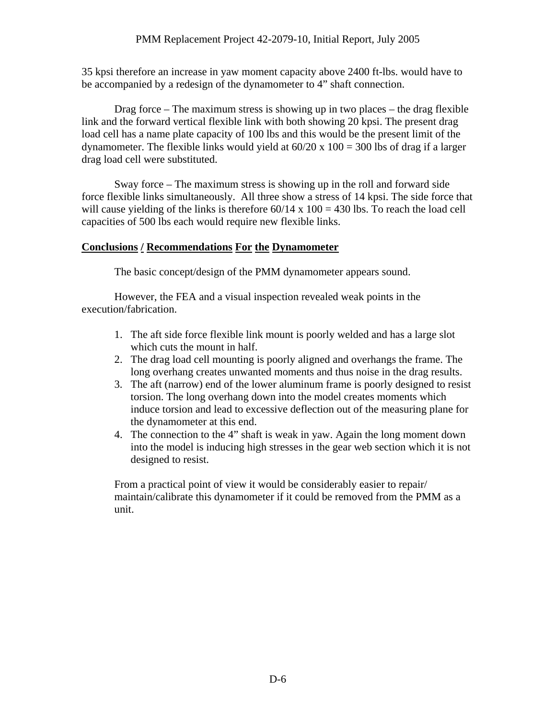35 kpsi therefore an increase in yaw moment capacity above 2400 ft-lbs. would have to be accompanied by a redesign of the dynamometer to 4" shaft connection.

Drag force – The maximum stress is showing up in two places – the drag flexible link and the forward vertical flexible link with both showing 20 kpsi. The present drag load cell has a name plate capacity of 100 lbs and this would be the present limit of the dynamometer. The flexible links would yield at  $60/20 \times 100 = 300$  lbs of drag if a larger drag load cell were substituted.

Sway force – The maximum stress is showing up in the roll and forward side force flexible links simultaneously. All three show a stress of 14 kpsi. The side force that will cause yielding of the links is therefore  $60/14 \times 100 = 430$  lbs. To reach the load cell capacities of 500 lbs each would require new flexible links.

# **Conclusions / Recommendations For the Dynamometer**

The basic concept/design of the PMM dynamometer appears sound.

However, the FEA and a visual inspection revealed weak points in the execution/fabrication.

- 1. The aft side force flexible link mount is poorly welded and has a large slot which cuts the mount in half.
- 2. The drag load cell mounting is poorly aligned and overhangs the frame. The long overhang creates unwanted moments and thus noise in the drag results.
- 3. The aft (narrow) end of the lower aluminum frame is poorly designed to resist torsion. The long overhang down into the model creates moments which induce torsion and lead to excessive deflection out of the measuring plane for the dynamometer at this end.
- 4. The connection to the 4" shaft is weak in yaw. Again the long moment down into the model is inducing high stresses in the gear web section which it is not designed to resist.

From a practical point of view it would be considerably easier to repair/ maintain/calibrate this dynamometer if it could be removed from the PMM as a unit.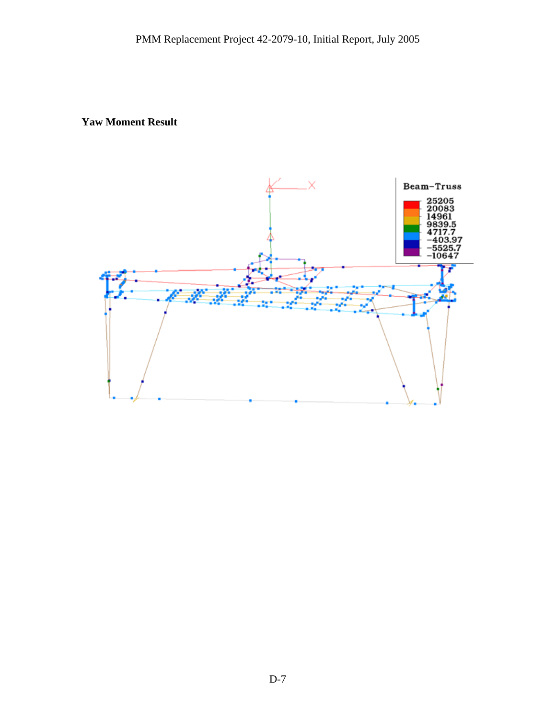# **Yaw Moment Result**

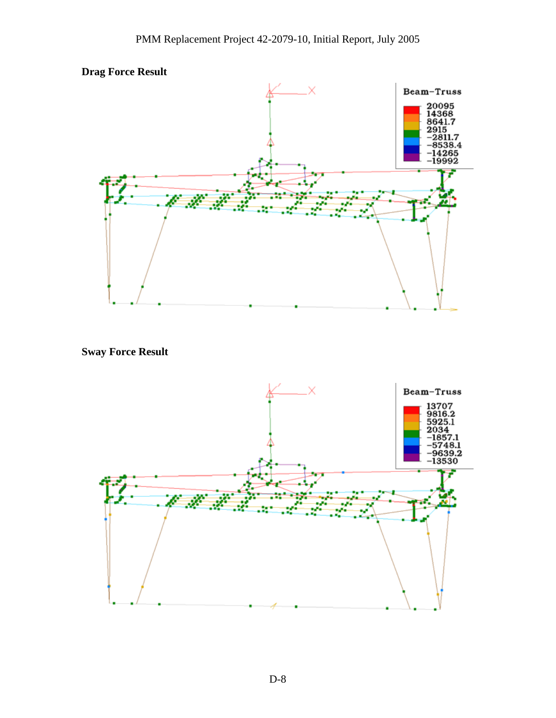



**Sway Force Result** 

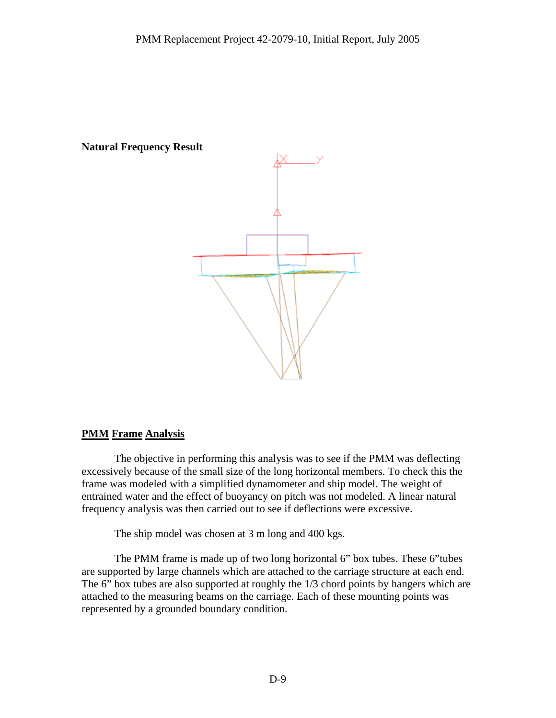### **Natural Frequency Result**



# **PMM Frame Analysis**

The objective in performing this analysis was to see if the PMM was deflecting excessively because of the small size of the long horizontal members. To check this the frame was modeled with a simplified dynamometer and ship model. The weight of entrained water and the effect of buoyancy on pitch was not modeled. A linear natural frequency analysis was then carried out to see if deflections were excessive.

The ship model was chosen at 3 m long and 400 kgs.

The PMM frame is made up of two long horizontal 6" box tubes. These 6"tubes are supported by large channels which are attached to the carriage structure at each end. The 6" box tubes are also supported at roughly the 1/3 chord points by hangers which are attached to the measuring beams on the carriage. Each of these mounting points was represented by a grounded boundary condition.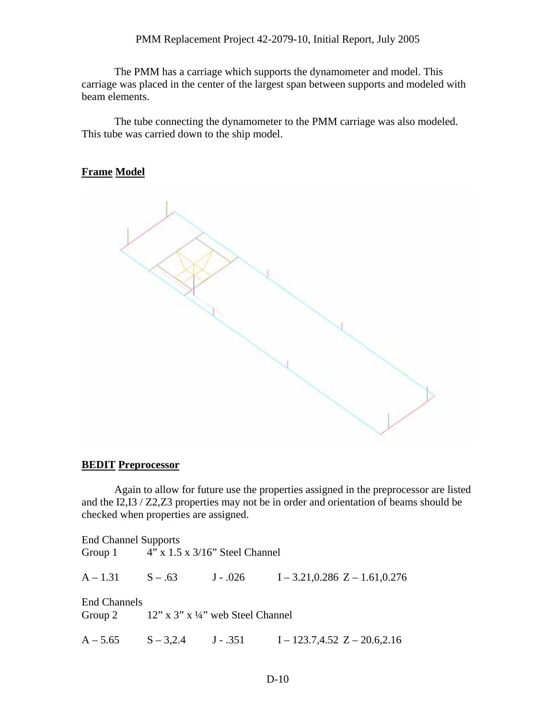The PMM has a carriage which supports the dynamometer and model. This carriage was placed in the center of the largest span between supports and modeled with beam elements.

The tube connecting the dynamometer to the PMM carriage was also modeled. This tube was carried down to the ship model.

# **Frame Model**



#### **BEDIT Preprocessor**

Again to allow for future use the properties assigned in the preprocessor are listed and the I2,I3 / Z2,Z3 properties may not be in order and orientation of beams should be checked when properties are assigned.

| <b>End Channel Supports</b> | Group 1 $4''$ x 1.5 x 3/16" Steel Channel    |                                                                    |
|-----------------------------|----------------------------------------------|--------------------------------------------------------------------|
|                             |                                              | $A-1.31$ $S-.63$ $J-.026$ $I-3.21,0.286$ $Z-1.61,0.276$            |
| <b>End Channels</b>         | Group 2 $12''$ x 3" x 1/4" web Steel Channel |                                                                    |
|                             |                                              | $A - 5.65$ $S - 3,2.4$ $J - .351$ $I - 123.7,4.52$ $Z - 20.6,2.16$ |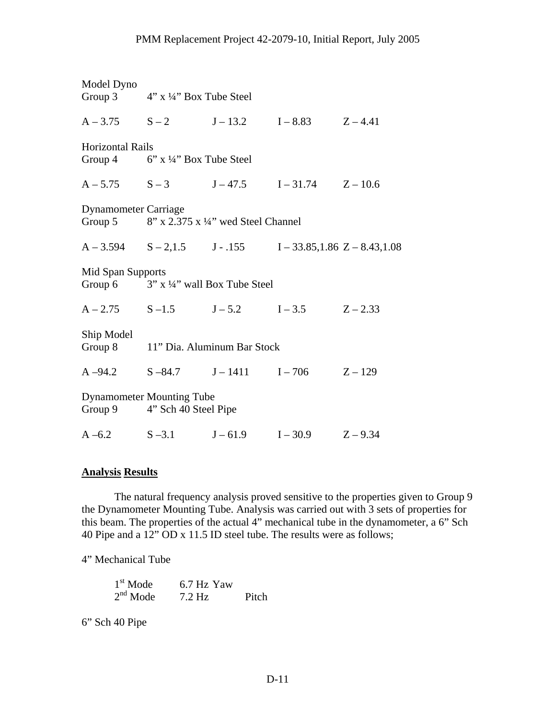| Model Dyno                  | Group 3 $4'' \times 4''$ Box Tube Steel                          |            |            |            |
|-----------------------------|------------------------------------------------------------------|------------|------------|------------|
|                             | $A-3.75$ $S-2$ $J-13.2$ $I-8.83$ $Z-4.41$                        |            |            |            |
| <b>Horizontal Rails</b>     | Group 4 $6''$ x $\frac{1}{4}''$ Box Tube Steel                   |            |            |            |
|                             | $A - 5.75$ $S - 3$ $J - 47.5$ $I - 31.74$ $Z - 10.6$             |            |            |            |
| <b>Dynamometer Carriage</b> | Group 5 $8''$ x 2.375 x $\frac{1}{4}$ wed Steel Channel          |            |            |            |
|                             | $A-3.594$ $S-2,1.5$ $J-.155$ $I-33.85,1.86$ $Z-8.43,1.08$        |            |            |            |
| Mid Span Supports           | Group 6 $3''$ x $\frac{1}{4}$ " wall Box Tube Steel              |            |            |            |
|                             | $A - 2.75$ $S - 1.5$ $J - 5.2$ $I - 3.5$                         |            |            | $Z - 2.33$ |
| Ship Model                  | Group 8 11" Dia. Aluminum Bar Stock                              |            |            |            |
|                             | $A-94.2$ $S-84.7$ $J-1411$ $I-706$ $Z-129$                       |            |            |            |
|                             | <b>Dynamometer Mounting Tube</b><br>Group 9 4" Sch 40 Steel Pipe |            |            |            |
| $A - 6.2$                   | $S - 3.1$                                                        | $J - 61.9$ | $I - 30.9$ | $Z - 9.34$ |

#### **Analysis Results**

The natural frequency analysis proved sensitive to the properties given to Group 9 the Dynamometer Mounting Tube. Analysis was carried out with 3 sets of properties for this beam. The properties of the actual 4" mechanical tube in the dynamometer, a 6" Sch 40 Pipe and a 12" OD x 11.5 ID steel tube. The results were as follows;

4" Mechanical Tube

 $1^{\text{st}}$  Mode 6.7 Hz Yaw<br>  $2^{\text{nd}}$  Mode 7.2 Hz 2<sup>nd</sup> Mode 7.2 Hz Pitch

6" Sch 40 Pipe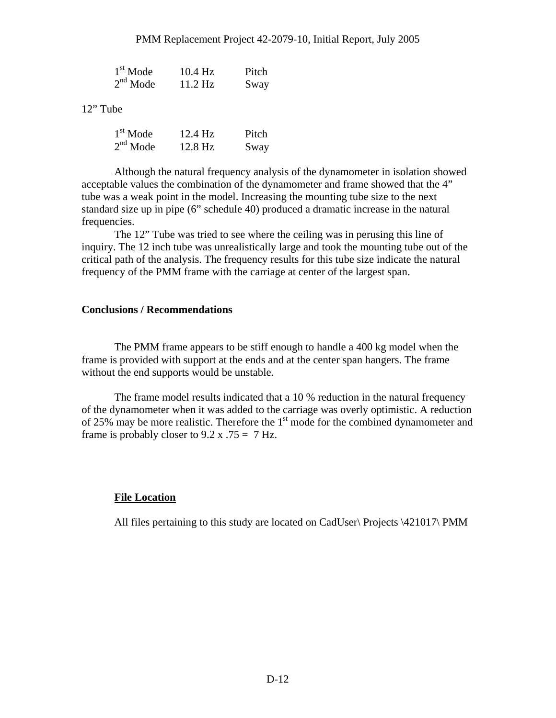| $1st$ Mode | $10.4$ Hz | Pitch |
|------------|-----------|-------|
| $2nd$ Mode | $11.2$ Hz | Sway  |

12" Tube

| $1st$ Mode | $12.4$ Hz | Pitch |
|------------|-----------|-------|
| $2nd$ Mode | 12.8 Hz   | Sway  |

Although the natural frequency analysis of the dynamometer in isolation showed acceptable values the combination of the dynamometer and frame showed that the 4" tube was a weak point in the model. Increasing the mounting tube size to the next standard size up in pipe (6" schedule 40) produced a dramatic increase in the natural frequencies.

The 12" Tube was tried to see where the ceiling was in perusing this line of inquiry. The 12 inch tube was unrealistically large and took the mounting tube out of the critical path of the analysis. The frequency results for this tube size indicate the natural frequency of the PMM frame with the carriage at center of the largest span.

#### **Conclusions / Recommendations**

The PMM frame appears to be stiff enough to handle a 400 kg model when the frame is provided with support at the ends and at the center span hangers. The frame without the end supports would be unstable.

The frame model results indicated that a 10 % reduction in the natural frequency of the dynamometer when it was added to the carriage was overly optimistic. A reduction of 25% may be more realistic. Therefore the  $1<sup>st</sup>$  mode for the combined dynamometer and frame is probably closer to  $9.2 \times 0.75 = 7$  Hz.

#### **File Location**

All files pertaining to this study are located on CadUser\ Projects \421017\ PMM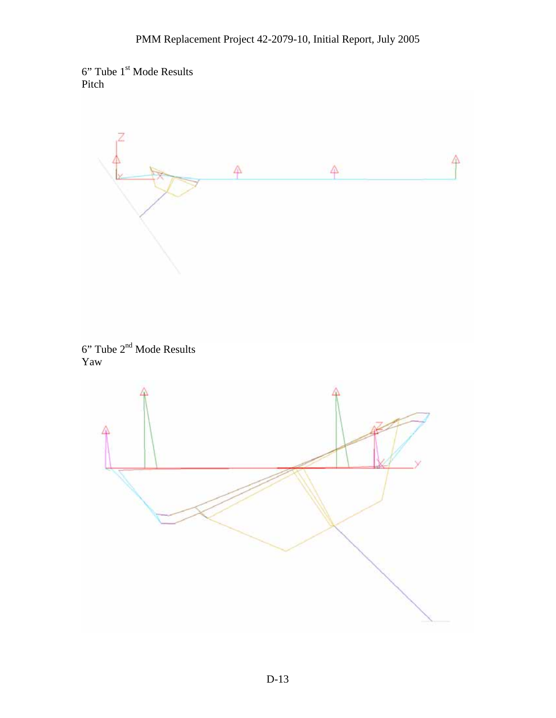



 $6"$  Tube  $2<sup>nd</sup>$  Mode Results Yaw

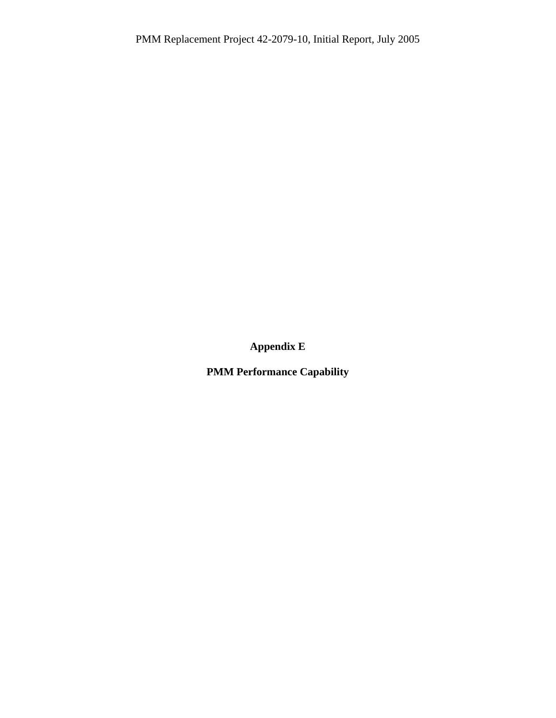**Appendix E** 

**PMM Performance Capability**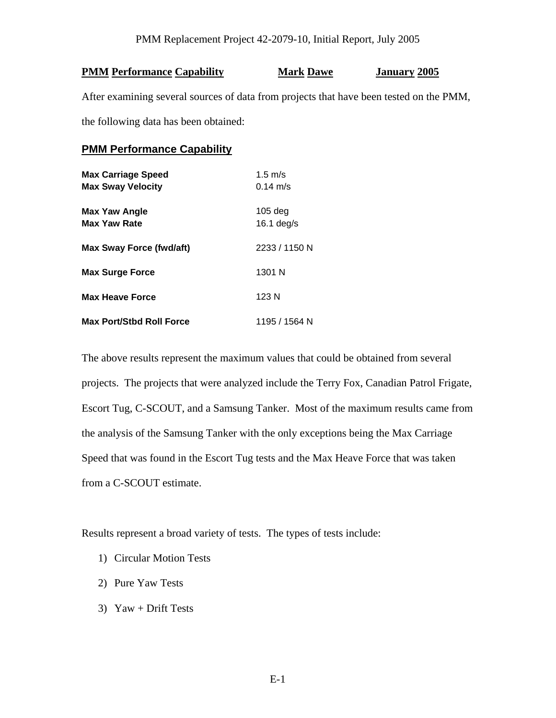### **PMM Performance Capability Mark Dawe January 2005**

After examining several sources of data from projects that have been tested on the PMM,

the following data has been obtained:

### **PMM Performance Capability**

| <b>Max Carriage Speed</b><br><b>Max Sway Velocity</b> | $1.5 \text{ m/s}$<br>$0.14 \text{ m/s}$ |
|-------------------------------------------------------|-----------------------------------------|
| <b>Max Yaw Angle</b><br><b>Max Yaw Rate</b>           | $105$ deg<br>16.1 $deg/s$               |
| Max Sway Force (fwd/aft)                              | 2233 / 1150 N                           |
| <b>Max Surge Force</b>                                | 1301 N                                  |
| <b>Max Heave Force</b>                                | 123 N                                   |
| <b>Max Port/Stbd Roll Force</b>                       | 1195 / 1564 N                           |

The above results represent the maximum values that could be obtained from several projects. The projects that were analyzed include the Terry Fox, Canadian Patrol Frigate, Escort Tug, C-SCOUT, and a Samsung Tanker. Most of the maximum results came from the analysis of the Samsung Tanker with the only exceptions being the Max Carriage Speed that was found in the Escort Tug tests and the Max Heave Force that was taken from a C-SCOUT estimate.

Results represent a broad variety of tests. The types of tests include:

- 1) Circular Motion Tests
- 2) Pure Yaw Tests
- 3) Yaw + Drift Tests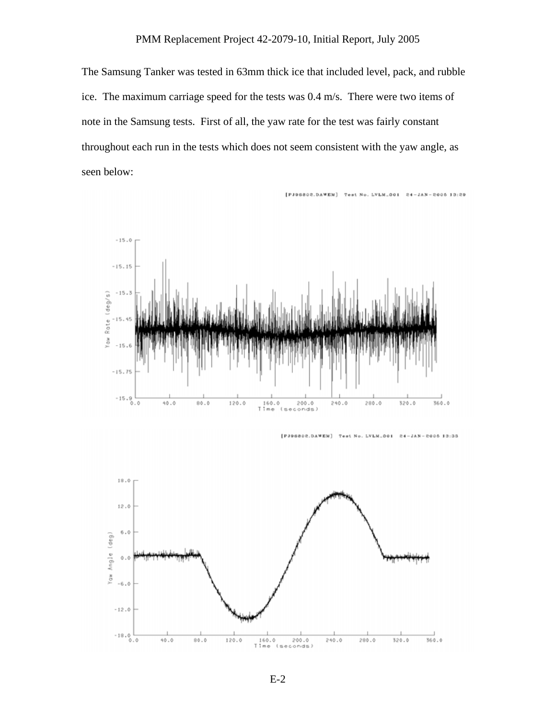### PMM Replacement Project 42-2079-10, Initial Report, July 2005

The Samsung Tanker was tested in 63mm thick ice that included level, pack, and rubble ice. The maximum carriage speed for the tests was 0.4 m/s. There were two items of note in the Samsung tests. First of all, the yaw rate for the test was fairly constant throughout each run in the tests which does not seem consistent with the yaw angle, as seen below:



 $[PI96802.DAWEN]$ Test No. LVLM\_001  $24$  $-8005$  13:33  $- J A N$ 



E-2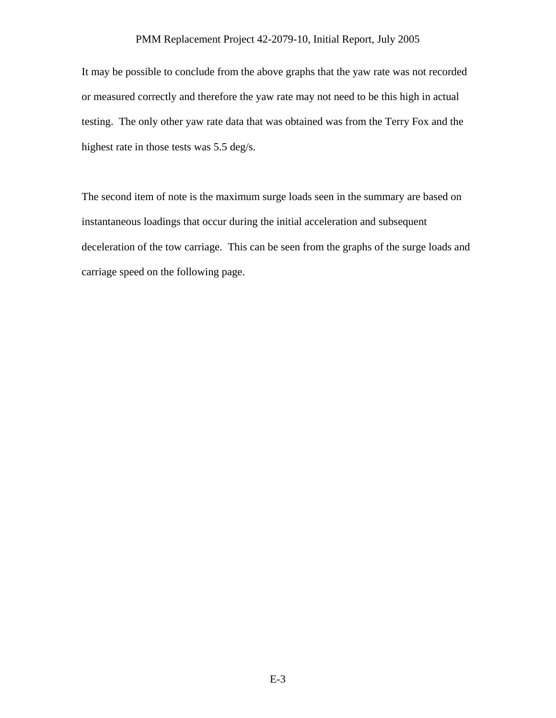#### PMM Replacement Project 42-2079-10, Initial Report, July 2005

It may be possible to conclude from the above graphs that the yaw rate was not recorded or measured correctly and therefore the yaw rate may not need to be this high in actual testing. The only other yaw rate data that was obtained was from the Terry Fox and the highest rate in those tests was 5.5 deg/s.

The second item of note is the maximum surge loads seen in the summary are based on instantaneous loadings that occur during the initial acceleration and subsequent deceleration of the tow carriage. This can be seen from the graphs of the surge loads and carriage speed on the following page.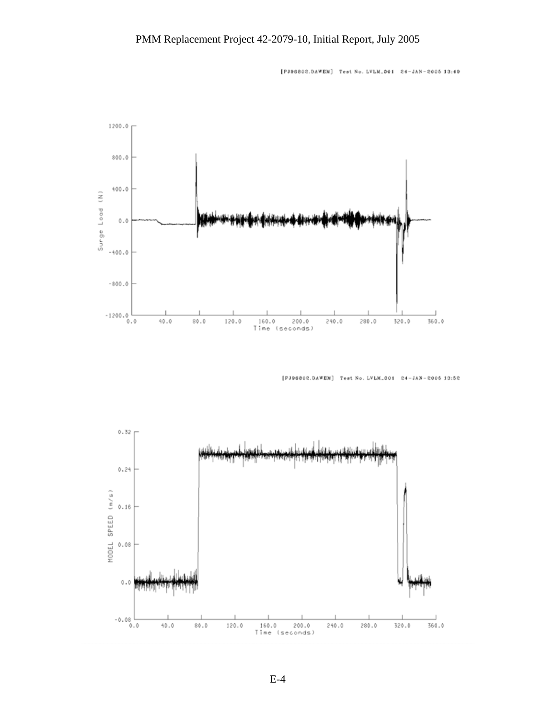[PJ96802.DAWEM] Test No. LVLM\_001 24-JAN-2005 13:49



[PJ96802.DAWEN] Test No. LVLM\_001 24-JAN-2005 13:52

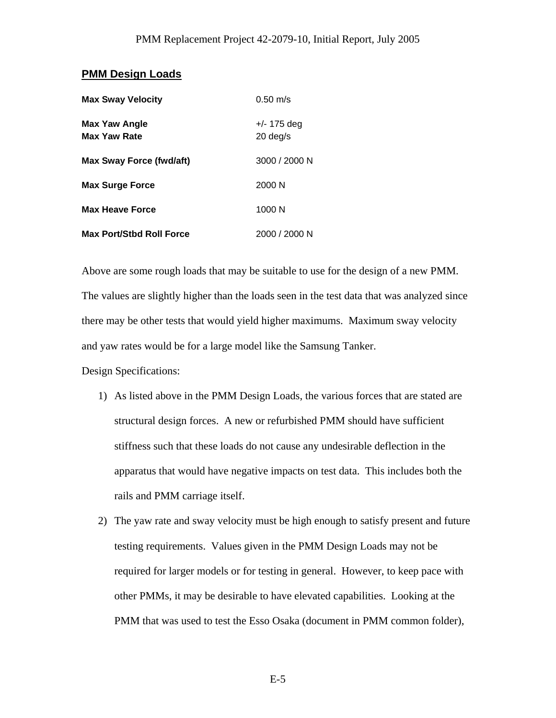#### **PMM Design Loads**

| <b>Max Sway Velocity</b>                    | $0.50 \text{ m/s}$        |
|---------------------------------------------|---------------------------|
| <b>Max Yaw Angle</b><br><b>Max Yaw Rate</b> | +/- 175 deg<br>$20$ deg/s |
| Max Sway Force (fwd/aft)                    | 3000 / 2000 N             |
| <b>Max Surge Force</b>                      | 2000 N                    |
| <b>Max Heave Force</b>                      | 1000 N                    |
| <b>Max Port/Stbd Roll Force</b>             | 2000 / 2000 N             |

Above are some rough loads that may be suitable to use for the design of a new PMM. The values are slightly higher than the loads seen in the test data that was analyzed since there may be other tests that would yield higher maximums. Maximum sway velocity and yaw rates would be for a large model like the Samsung Tanker.

Design Specifications:

- 1) As listed above in the PMM Design Loads, the various forces that are stated are structural design forces. A new or refurbished PMM should have sufficient stiffness such that these loads do not cause any undesirable deflection in the apparatus that would have negative impacts on test data. This includes both the rails and PMM carriage itself.
- 2) The yaw rate and sway velocity must be high enough to satisfy present and future testing requirements. Values given in the PMM Design Loads may not be required for larger models or for testing in general. However, to keep pace with other PMMs, it may be desirable to have elevated capabilities. Looking at the PMM that was used to test the Esso Osaka (document in PMM common folder),

E-5